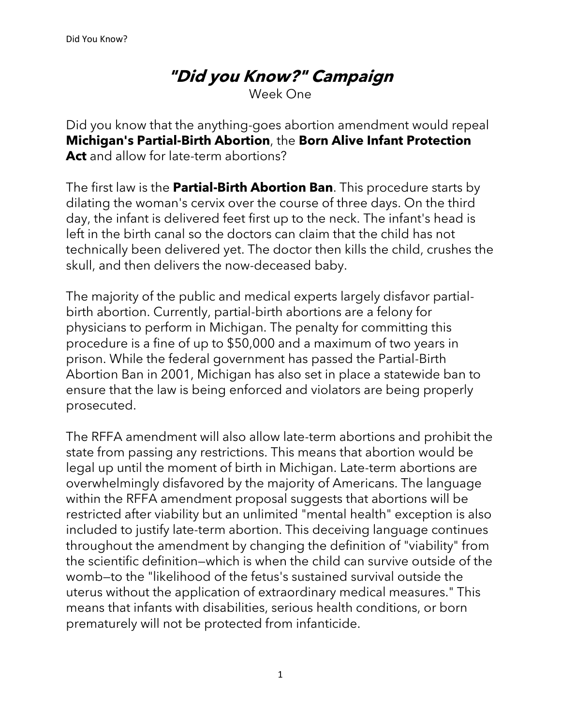Week One

Did you know that the anything-goes abortion amendment would repeal **Michigan's Partial-Birth Abortion**, the **Born Alive Infant Protection Act** and allow for late-term abortions?

The first law is the **Partial-Birth Abortion Ban**. This procedure starts by dilating the woman's cervix over the course of three days. On the third day, the infant is delivered feet first up to the neck. The infant's head is left in the birth canal so the doctors can claim that the child has not technically been delivered yet. The doctor then kills the child, crushes the skull, and then delivers the now-deceased baby.

The majority of the public and medical experts largely disfavor partialbirth abortion. Currently, partial-birth abortions are a felony for physicians to perform in Michigan. The penalty for committing this procedure is a fine of up to \$50,000 and a maximum of two years in prison. While the federal government has passed the Partial-Birth Abortion Ban in 2001, Michigan has also set in place a statewide ban to ensure that the law is being enforced and violators are being properly prosecuted.

The RFFA amendment will also allow late-term abortions and prohibit the state from passing any restrictions. This means that abortion would be legal up until the moment of birth in Michigan. Late-term abortions are overwhelmingly disfavored by the majority of Americans. The language within the RFFA amendment proposal suggests that abortions will be restricted after viability but an unlimited "mental health" exception is also included to justify late-term abortion. This deceiving language continues throughout the amendment by changing the definition of "viability" from the scientific definition—which is when the child can survive outside of the womb—to the "likelihood of the fetus's sustained survival outside the uterus without the application of extraordinary medical measures." This means that infants with disabilities, serious health conditions, or born prematurely will not be protected from infanticide.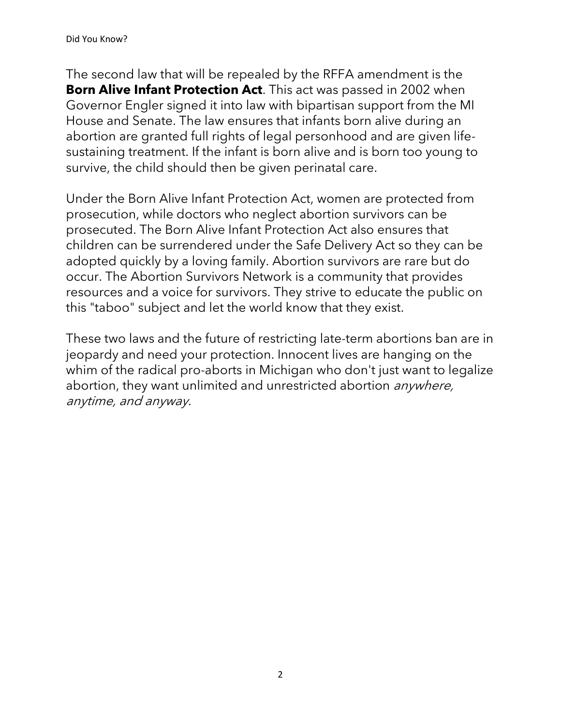The second law that will be repealed by the RFFA amendment is the **Born Alive Infant Protection Act**. This act was passed in 2002 when Governor Engler signed it into law with bipartisan support from the MI House and Senate. The law ensures that infants born alive during an abortion are granted full rights of legal personhood and are given lifesustaining treatment. If the infant is born alive and is born too young to survive, the child should then be given perinatal care.

Under the Born Alive Infant Protection Act, women are protected from prosecution, while doctors who neglect abortion survivors can be prosecuted. The Born Alive Infant Protection Act also ensures that children can be surrendered under the Safe Delivery Act so they can be adopted quickly by a loving family. Abortion survivors are rare but do occur. The Abortion Survivors Network is a community that provides resources and a voice for survivors. They strive to educate the public on this "taboo" subject and let the world know that they exist.

These two laws and the future of restricting late-term abortions ban are in jeopardy and need your protection. Innocent lives are hanging on the whim of the radical pro-aborts in Michigan who don't just want to legalize abortion, they want unlimited and unrestricted abortion *anywhere*, anytime, and anyway.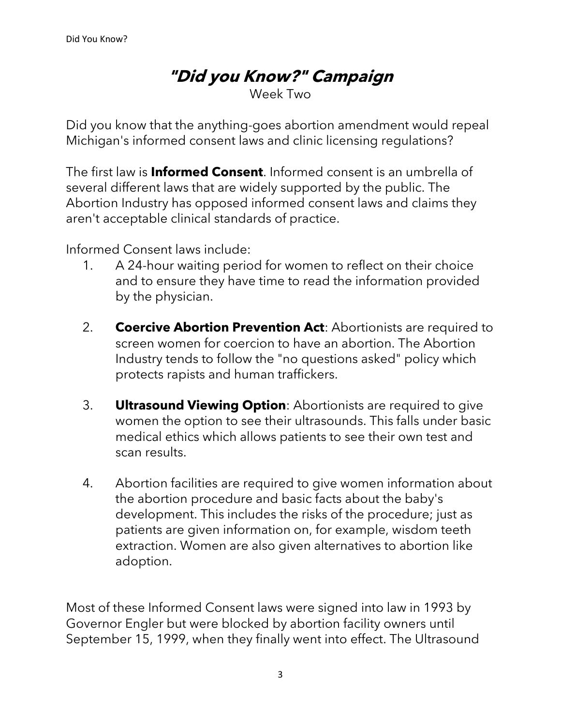Week Two

Did you know that the anything-goes abortion amendment would repeal Michigan's informed consent laws and clinic licensing regulations?

The first law is **Informed Consent**. Informed consent is an umbrella of several different laws that are widely supported by the public. The Abortion Industry has opposed informed consent laws and claims they aren't acceptable clinical standards of practice.

Informed Consent laws include:

- 1. A 24-hour waiting period for women to reflect on their choice and to ensure they have time to read the information provided by the physician.
- 2. **Coercive Abortion Prevention Act**: Abortionists are required to screen women for coercion to have an abortion. The Abortion Industry tends to follow the "no questions asked" policy which protects rapists and human traffickers.
- 3. **Ultrasound Viewing Option**: Abortionists are required to give women the option to see their ultrasounds. This falls under basic medical ethics which allows patients to see their own test and scan results.
- 4. Abortion facilities are required to give women information about the abortion procedure and basic facts about the baby's development. This includes the risks of the procedure; just as patients are given information on, for example, wisdom teeth extraction. Women are also given alternatives to abortion like adoption.

Most of these Informed Consent laws were signed into law in 1993 by Governor Engler but were blocked by abortion facility owners until September 15, 1999, when they finally went into effect. The Ultrasound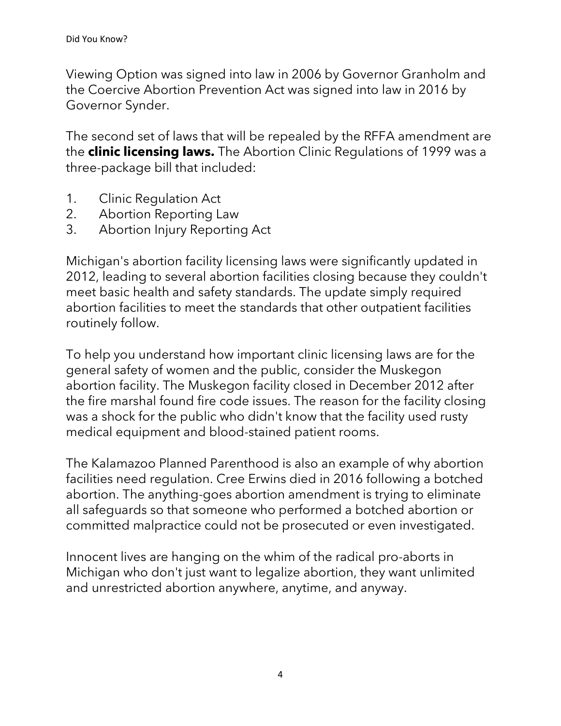Viewing Option was signed into law in 2006 by Governor Granholm and the Coercive Abortion Prevention Act was signed into law in 2016 by Governor Synder.

The second set of laws that will be repealed by the RFFA amendment are the **clinic licensing laws.** The Abortion Clinic Regulations of 1999 was a three-package bill that included:

- 1. Clinic Regulation Act
- 2. Abortion Reporting Law
- 3. Abortion Injury Reporting Act

Michigan's abortion facility licensing laws were significantly updated in 2012, leading to several abortion facilities closing because they couldn't meet basic health and safety standards. The update simply required abortion facilities to meet the standards that other outpatient facilities routinely follow.

To help you understand how important clinic licensing laws are for the general safety of women and the public, consider the Muskegon abortion facility. The Muskegon facility closed in December 2012 after the fire marshal found fire code issues. The reason for the facility closing was a shock for the public who didn't know that the facility used rusty medical equipment and blood-stained patient rooms.

The Kalamazoo Planned Parenthood is also an example of why abortion facilities need regulation. Cree Erwins died in 2016 following a botched abortion. The anything-goes abortion amendment is trying to eliminate all safeguards so that someone who performed a botched abortion or committed malpractice could not be prosecuted or even investigated.

Innocent lives are hanging on the whim of the radical pro-aborts in Michigan who don't just want to legalize abortion, they want unlimited and unrestricted abortion anywhere, anytime, and anyway.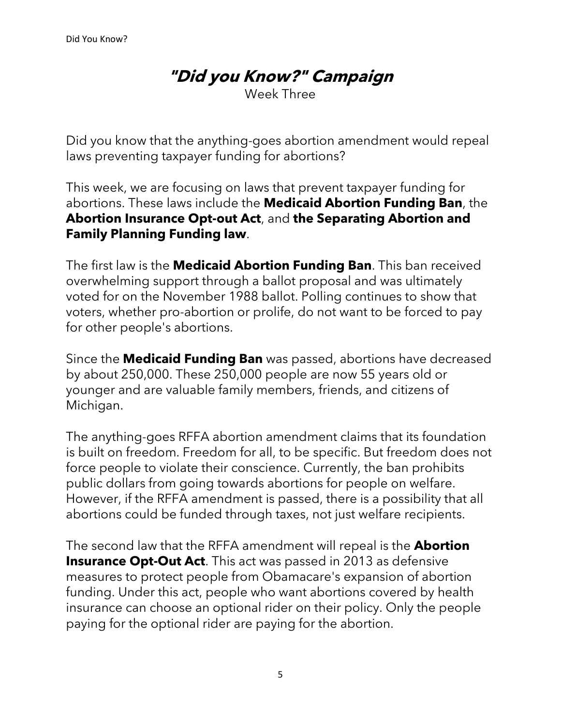Week Three

Did you know that the anything-goes abortion amendment would repeal laws preventing taxpayer funding for abortions?

This week, we are focusing on laws that prevent taxpayer funding for abortions. These laws include the **Medicaid Abortion Funding Ban**, the **Abortion Insurance Opt-out Act**, and **the Separating Abortion and Family Planning Funding law**.

The first law is the **Medicaid Abortion Funding Ban**. This ban received overwhelming support through a ballot proposal and was ultimately voted for on the November 1988 ballot. Polling continues to show that voters, whether pro-abortion or prolife, do not want to be forced to pay for other people's abortions.

Since the **Medicaid Funding Ban** was passed, abortions have decreased by about 250,000. These 250,000 people are now 55 years old or younger and are valuable family members, friends, and citizens of Michigan.

The anything-goes RFFA abortion amendment claims that its foundation is built on freedom. Freedom for all, to be specific. But freedom does not force people to violate their conscience. Currently, the ban prohibits public dollars from going towards abortions for people on welfare. However, if the RFFA amendment is passed, there is a possibility that all abortions could be funded through taxes, not just welfare recipients.

The second law that the RFFA amendment will repeal is the **Abortion Insurance Opt-Out Act**. This act was passed in 2013 as defensive measures to protect people from Obamacare's expansion of abortion funding. Under this act, people who want abortions covered by health insurance can choose an optional rider on their policy. Only the people paying for the optional rider are paying for the abortion.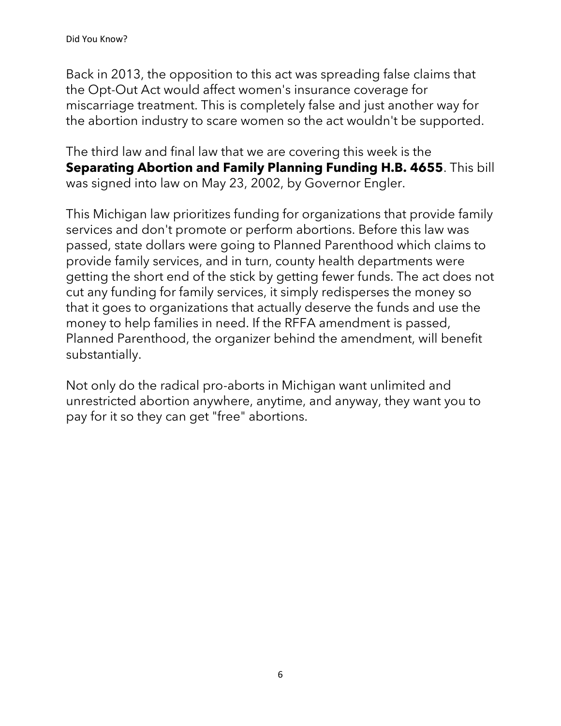Back in 2013, the opposition to this act was spreading false claims that the Opt-Out Act would affect women's insurance coverage for miscarriage treatment. This is completely false and just another way for the abortion industry to scare women so the act wouldn't be supported.

The third law and final law that we are covering this week is the **Separating Abortion and Family Planning Funding H.B. 4655**. This bill was signed into law on May 23, 2002, by Governor Engler.

This Michigan law prioritizes funding for organizations that provide family services and don't promote or perform abortions. Before this law was passed, state dollars were going to Planned Parenthood which claims to provide family services, and in turn, county health departments were getting the short end of the stick by getting fewer funds. The act does not cut any funding for family services, it simply redisperses the money so that it goes to organizations that actually deserve the funds and use the money to help families in need. If the RFFA amendment is passed, Planned Parenthood, the organizer behind the amendment, will benefit substantially.

Not only do the radical pro-aborts in Michigan want unlimited and unrestricted abortion anywhere, anytime, and anyway, they want you to pay for it so they can get "free" abortions.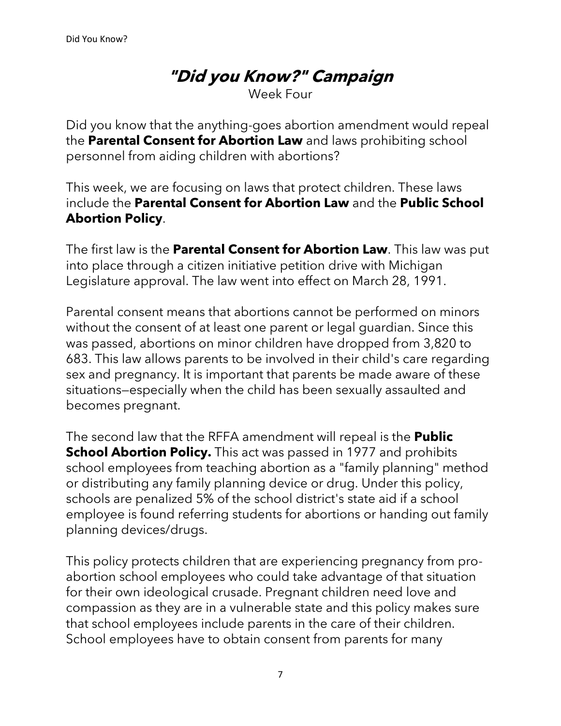Week Four

Did you know that the anything-goes abortion amendment would repeal the **Parental Consent for Abortion Law** and laws prohibiting school personnel from aiding children with abortions?

This week, we are focusing on laws that protect children. These laws include the **Parental Consent for Abortion Law** and the **Public School Abortion Policy**.

The first law is the **Parental Consent for Abortion Law**. This law was put into place through a citizen initiative petition drive with Michigan Legislature approval. The law went into effect on March 28, 1991.

Parental consent means that abortions cannot be performed on minors without the consent of at least one parent or legal guardian. Since this was passed, abortions on minor children have dropped from 3,820 to 683. This law allows parents to be involved in their child's care regarding sex and pregnancy. It is important that parents be made aware of these situations—especially when the child has been sexually assaulted and becomes pregnant.

The second law that the RFFA amendment will repeal is the **Public School Abortion Policy.** This act was passed in 1977 and prohibits school employees from teaching abortion as a "family planning" method or distributing any family planning device or drug. Under this policy, schools are penalized 5% of the school district's state aid if a school employee is found referring students for abortions or handing out family planning devices/drugs.

This policy protects children that are experiencing pregnancy from proabortion school employees who could take advantage of that situation for their own ideological crusade. Pregnant children need love and compassion as they are in a vulnerable state and this policy makes sure that school employees include parents in the care of their children. School employees have to obtain consent from parents for many